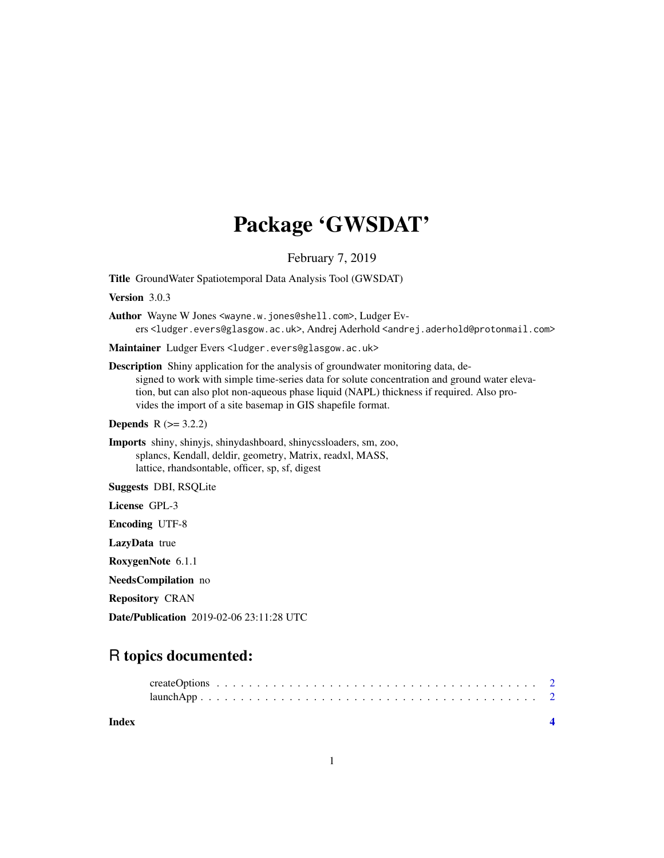## Package 'GWSDAT'

February 7, 2019

Title GroundWater Spatiotemporal Data Analysis Tool (GWSDAT)

Version 3.0.3

Author Wayne W Jones <wayne.w.jones@shell.com>, Ludger Evers <ludger.evers@glasgow.ac.uk>, Andrej Aderhold <andrej.aderhold@protonmail.com>

Maintainer Ludger Evers <ludger.evers@glasgow.ac.uk>

Description Shiny application for the analysis of groundwater monitoring data, designed to work with simple time-series data for solute concentration and ground water elevation, but can also plot non-aqueous phase liquid (NAPL) thickness if required. Also provides the import of a site basemap in GIS shapefile format.

**Depends**  $R$  ( $>= 3.2.2$ )

Imports shiny, shinyjs, shinydashboard, shinycssloaders, sm, zoo, splancs, Kendall, deldir, geometry, Matrix, readxl, MASS, lattice, rhandsontable, officer, sp, sf, digest

Suggests DBI, RSQLite

License GPL-3

Encoding UTF-8

LazyData true

RoxygenNote 6.1.1

NeedsCompilation no

Repository CRAN

Date/Publication 2019-02-06 23:11:28 UTC

### R topics documented:

| Index |  |  |
|-------|--|--|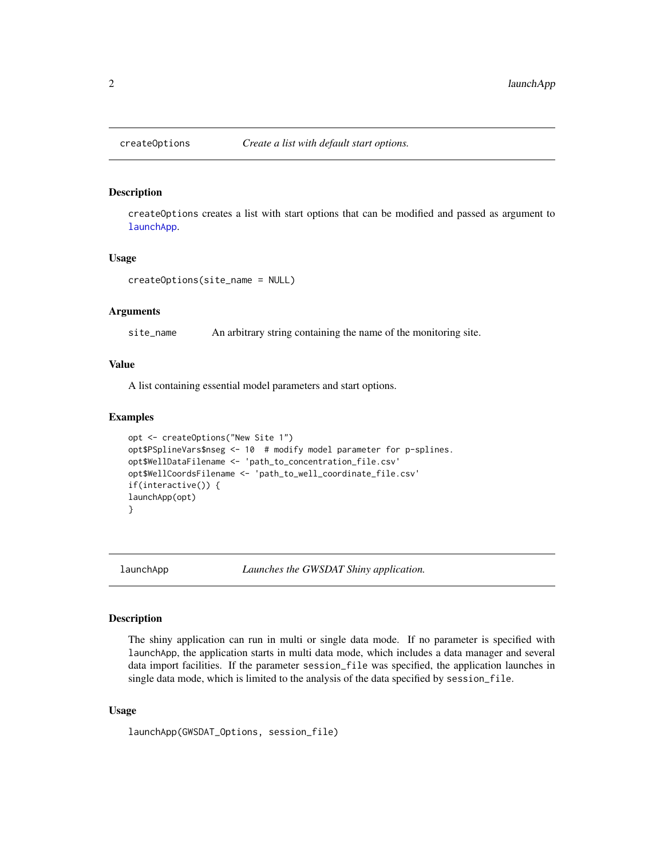<span id="page-1-2"></span><span id="page-1-0"></span>

#### Description

createOptions creates a list with start options that can be modified and passed as argument to [launchApp](#page-1-1).

#### Usage

createOptions(site\_name = NULL)

#### Arguments

site\_name An arbitrary string containing the name of the monitoring site.

#### Value

A list containing essential model parameters and start options.

#### Examples

```
opt <- createOptions("New Site 1")
opt$PSplineVars$nseg <- 10 # modify model parameter for p-splines.
opt$WellDataFilename <- 'path_to_concentration_file.csv'
opt$WellCoordsFilename <- 'path_to_well_coordinate_file.csv'
if(interactive()) {
launchApp(opt)
}
```
<span id="page-1-1"></span>

launchApp *Launches the GWSDAT Shiny application.*

#### Description

The shiny application can run in multi or single data mode. If no parameter is specified with launchApp, the application starts in multi data mode, which includes a data manager and several data import facilities. If the parameter session\_file was specified, the application launches in single data mode, which is limited to the analysis of the data specified by session\_file.

#### Usage

launchApp(GWSDAT\_Options, session\_file)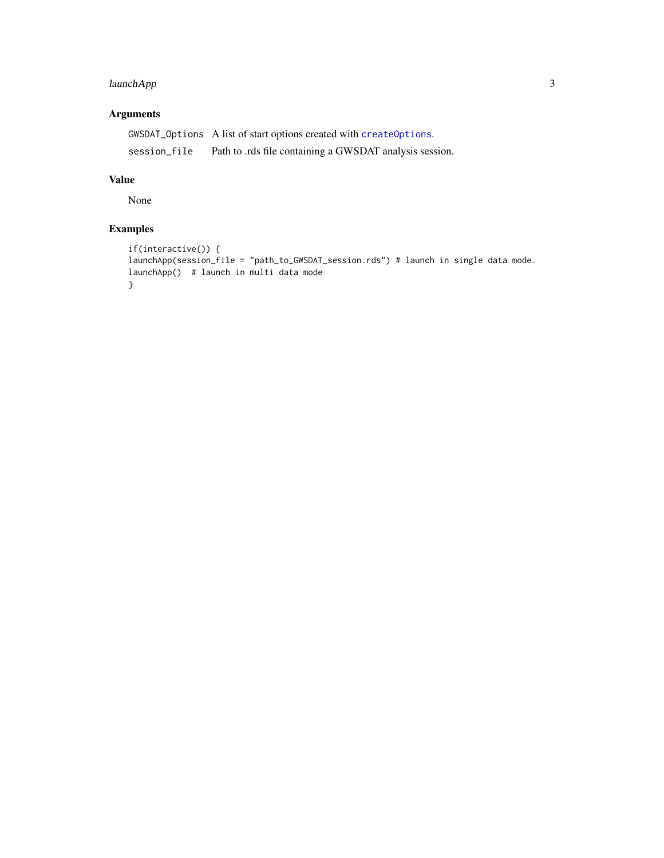#### <span id="page-2-0"></span>launchApp 3

#### Arguments

GWSDAT\_Options A list of start options created with [createOptions](#page-1-2). session\_file Path to .rds file containing a GWSDAT analysis session.

#### Value

None

#### Examples

```
if(interactive()) {
launchApp(session_file = "path_to_GWSDAT_session.rds") # launch in single data mode.
launchApp() # launch in multi data mode
}
```